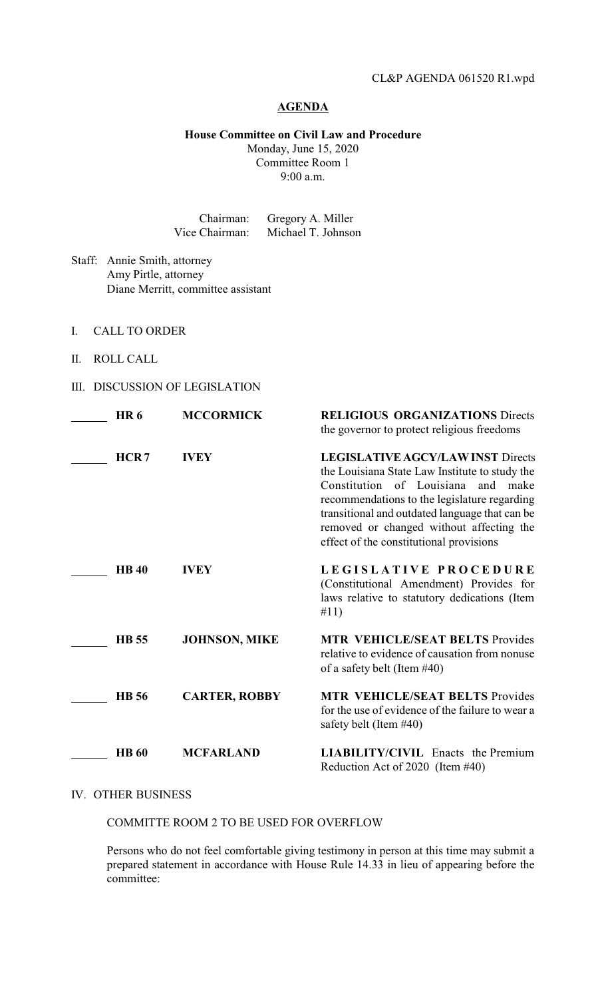## **AGENDA**

**House Committee on Civil Law and Procedure** Monday, June 15, 2020

Committee Room 1 9:00 a.m.

| Chairman:      | Gregory A. Miller  |
|----------------|--------------------|
| Vice Chairman: | Michael T. Johnson |

- Staff: Annie Smith, attorney Amy Pirtle, attorney Diane Merritt, committee assistant
- I. CALL TO ORDER
- II. ROLL CALL
- III. DISCUSSION OF LEGISLATION

| <b>HR6</b>   | <b>MCCORMICK</b>     | <b>RELIGIOUS ORGANIZATIONS Directs</b><br>the governor to protect religious freedoms                                                                                                                                                                                                                                         |
|--------------|----------------------|------------------------------------------------------------------------------------------------------------------------------------------------------------------------------------------------------------------------------------------------------------------------------------------------------------------------------|
| HCR7         | <b>IVEY</b>          | <b>LEGISLATIVE AGCY/LAW INST Directs</b><br>the Louisiana State Law Institute to study the<br>Constitution of Louisiana<br>and make<br>recommendations to the legislature regarding<br>transitional and outdated language that can be<br>removed or changed without affecting the<br>effect of the constitutional provisions |
| <b>HB40</b>  | <b>IVEY</b>          | LEGISLATIVE PROCEDURE<br>(Constitutional Amendment) Provides for<br>laws relative to statutory dedications (Item<br>#11)                                                                                                                                                                                                     |
| <b>HB</b> 55 | <b>JOHNSON, MIKE</b> | <b>MTR VEHICLE/SEAT BELTS Provides</b><br>relative to evidence of causation from nonuse<br>of a safety belt (Item $#40$ )                                                                                                                                                                                                    |
| <b>HB</b> 56 | <b>CARTER, ROBBY</b> | <b>MTR VEHICLE/SEAT BELTS Provides</b><br>for the use of evidence of the failure to wear a<br>safety belt (Item #40)                                                                                                                                                                                                         |
| <b>HB</b> 60 | <b>MCFARLAND</b>     | <b>LIABILITY/CIVIL</b> Enacts the Premium<br>Reduction Act of 2020 (Item #40)                                                                                                                                                                                                                                                |

## IV. OTHER BUSINESS

COMMITTE ROOM 2 TO BE USED FOR OVERFLOW

Persons who do not feel comfortable giving testimony in person at this time may submit a prepared statement in accordance with House Rule 14.33 in lieu of appearing before the committee: